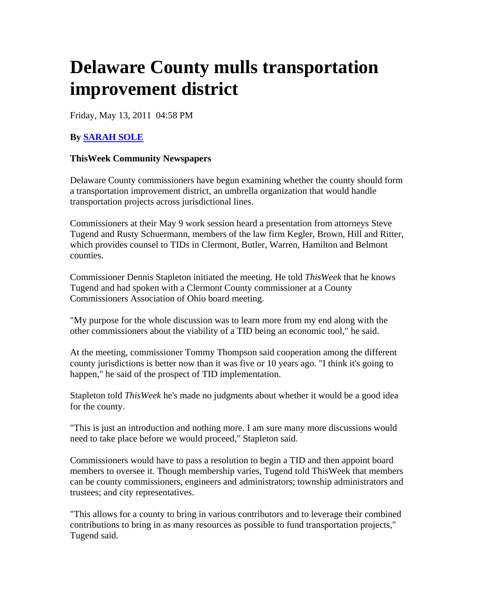## **Delaware County mulls transportation improvement district**

Friday, May 13, 2011 04:58 PM

## **By SARAH SOLE**

## **ThisWeek Community Newspapers**

Delaware County commissioners have begun examining whether the county should form a transportation improvement district, an umbrella organization that would handle transportation projects across jurisdictional lines.

Commissioners at their May 9 work session heard a presentation from attorneys Steve Tugend and Rusty Schuermann, members of the law firm Kegler, Brown, Hill and Ritter, which provides counsel to TIDs in Clermont, Butler, Warren, Hamilton and Belmont counties.

Commissioner Dennis Stapleton initiated the meeting. He told *ThisWeek* that he knows Tugend and had spoken with a Clermont County commissioner at a County Commissioners Association of Ohio board meeting.

"My purpose for the whole discussion was to learn more from my end along with the other commissioners about the viability of a TID being an economic tool," he said.

At the meeting, commissioner Tommy Thompson said cooperation among the different county jurisdictions is better now than it was five or 10 years ago. "I think it's going to happen," he said of the prospect of TID implementation.

Stapleton told *ThisWeek* he's made no judgments about whether it would be a good idea for the county.

"This is just an introduction and nothing more. I am sure many more discussions would need to take place before we would proceed," Stapleton said.

Commissioners would have to pass a resolution to begin a TID and then appoint board members to oversee it. Though membership varies, Tugend told ThisWeek that members can be county commissioners, engineers and administrators; township administrators and trustees; and city representatives.

"This allows for a county to bring in various contributors and to leverage their combined contributions to bring in as many resources as possible to fund transportation projects," Tugend said.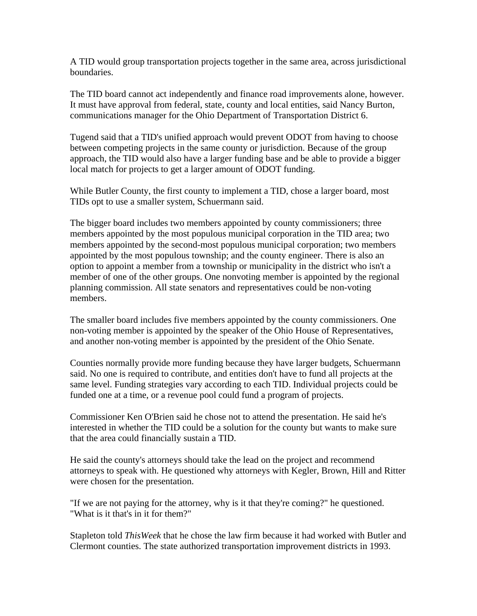A TID would group transportation projects together in the same area, across jurisdictional boundaries.

The TID board cannot act independently and finance road improvements alone, however. It must have approval from federal, state, county and local entities, said Nancy Burton, communications manager for the Ohio Department of Transportation District 6.

Tugend said that a TID's unified approach would prevent ODOT from having to choose between competing projects in the same county or jurisdiction. Because of the group approach, the TID would also have a larger funding base and be able to provide a bigger local match for projects to get a larger amount of ODOT funding.

While Butler County, the first county to implement a TID, chose a larger board, most TIDs opt to use a smaller system, Schuermann said.

The bigger board includes two members appointed by county commissioners; three members appointed by the most populous municipal corporation in the TID area; two members appointed by the second-most populous municipal corporation; two members appointed by the most populous township; and the county engineer. There is also an option to appoint a member from a township or municipality in the district who isn't a member of one of the other groups. One nonvoting member is appointed by the regional planning commission. All state senators and representatives could be non-voting members.

The smaller board includes five members appointed by the county commissioners. One non-voting member is appointed by the speaker of the Ohio House of Representatives, and another non-voting member is appointed by the president of the Ohio Senate.

Counties normally provide more funding because they have larger budgets, Schuermann said. No one is required to contribute, and entities don't have to fund all projects at the same level. Funding strategies vary according to each TID. Individual projects could be funded one at a time, or a revenue pool could fund a program of projects.

Commissioner Ken O'Brien said he chose not to attend the presentation. He said he's interested in whether the TID could be a solution for the county but wants to make sure that the area could financially sustain a TID.

He said the county's attorneys should take the lead on the project and recommend attorneys to speak with. He questioned why attorneys with Kegler, Brown, Hill and Ritter were chosen for the presentation.

"If we are not paying for the attorney, why is it that they're coming?" he questioned. "What is it that's in it for them?"

Stapleton told *ThisWeek* that he chose the law firm because it had worked with Butler and Clermont counties. The state authorized transportation improvement districts in 1993.